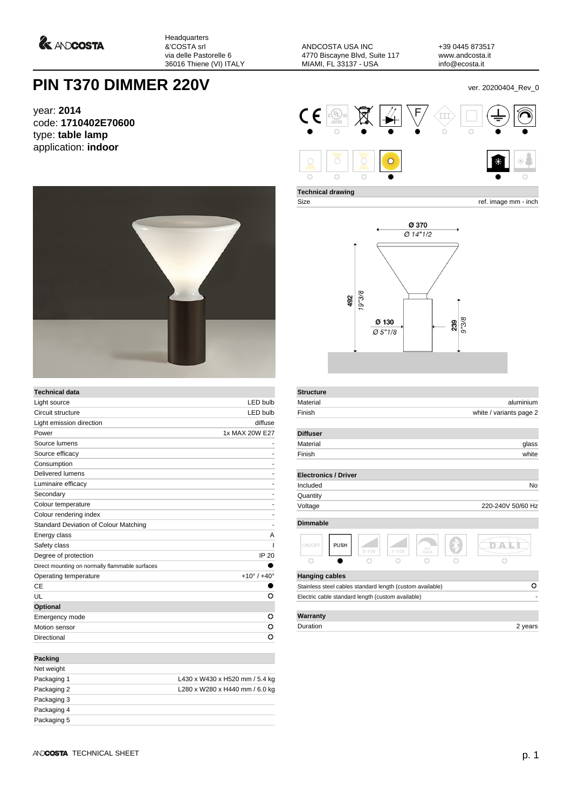*<u>A ANDCOSTA</u>* 

Headquarters &'COSTA srl via delle Pastorelle 6 36016 Thiene (VI) ITALY

ANDCOSTA USA INC 4770 Biscayne Blvd, Suite 117 MIAMI, FL 33137 - USA

+39 0445 873517 www.andcosta.it info@ecosta.it

## **PIN T370 DIMMER 220V** ver. 20200404\_Rev\_0

year: **2014** code: **1710402E70600** type: **table lamp** application: **indoor**



| <b>Technical data</b>                          |                               |
|------------------------------------------------|-------------------------------|
| Light source                                   | <b>LED bulb</b>               |
| Circuit structure                              | <b>LED bulb</b>               |
| Light emission direction                       | diffuse                       |
| Power                                          | 1x MAX 20W E27                |
| Source lumens                                  |                               |
| Source efficacy                                |                               |
| Consumption                                    | ۰                             |
| Delivered lumens                               |                               |
| Luminaire efficacy                             |                               |
| Secondary                                      |                               |
| Colour temperature                             |                               |
| Colour rendering index                         |                               |
| Standard Deviation of Colour Matching          | ۰                             |
| Energy class                                   | A                             |
| Safety class                                   |                               |
| Degree of protection                           | <b>IP 20</b>                  |
| Direct mounting on normally flammable surfaces |                               |
| Operating temperature                          | $+10^{\circ}$ / $+40^{\circ}$ |
| СE                                             |                               |
| UL                                             | o                             |
| Optional                                       |                               |
| Emergency mode                                 | ο                             |
| Motion sensor                                  | o                             |
| Directional                                    | o                             |
| Packing                                        |                               |
| فعامته ومعالما                                 |                               |

| Net weight  |                                |
|-------------|--------------------------------|
| Packaging 1 | L430 x W430 x H520 mm / 5.4 kg |
| Packaging 2 | L280 x W280 x H440 mm / 6.0 kg |
| Packaging 3 |                                |
| Packaging 4 |                                |
| Packaging 5 |                                |
|             |                                |



**Technical drawing**

**Structure**

Size ref. image mm - inch



| Material                    |                                                           |           |              |  | aluminium         |  |
|-----------------------------|-----------------------------------------------------------|-----------|--------------|--|-------------------|--|
| Finish                      | white / variants page 2                                   |           |              |  |                   |  |
| <b>Diffuser</b>             |                                                           |           |              |  |                   |  |
| Material                    |                                                           |           |              |  | glass             |  |
| Finish                      |                                                           |           |              |  | white             |  |
| <b>Electronics / Driver</b> |                                                           |           |              |  |                   |  |
| Included                    |                                                           |           |              |  | No                |  |
| Quantity                    |                                                           |           |              |  |                   |  |
| Voltage                     |                                                           |           |              |  | 220-240V 50/60 Hz |  |
| <b>Dimmable</b>             |                                                           |           |              |  |                   |  |
| ON/OFF<br><b>PUSH</b>       | $0 - 10V$                                                 | $1 - 10V$ | CUT<br>PHASE |  |                   |  |
|                             |                                                           |           |              |  |                   |  |
| <b>Hanging cables</b>       |                                                           |           |              |  |                   |  |
|                             | Stainless steel cables standard length (custom available) |           |              |  | o                 |  |
|                             | Electric cable standard length (custom available)         |           |              |  |                   |  |
|                             |                                                           |           |              |  |                   |  |
| Warranty                    |                                                           |           |              |  |                   |  |

Duration 2 years 2 years